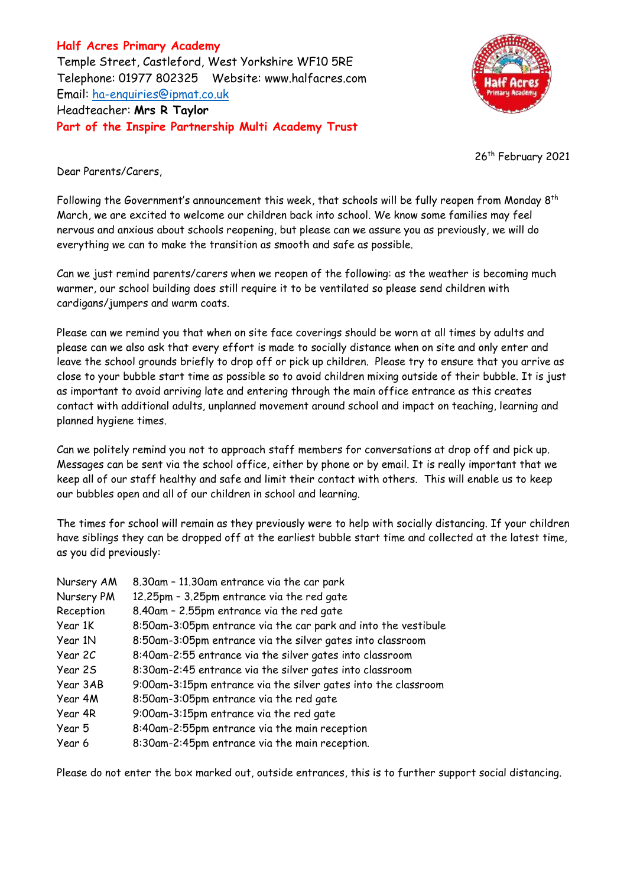**Half Acres Primary Academy** Temple Street, Castleford, West Yorkshire WF10 5RE Telephone: 01977 802325 Website: [www.halfacres.com](http://www.halfacres.com/) Email: [ha-enquiries@ipmat.co.uk](mailto:ha-enquiries@ipmat.co.uk) Headteacher: **Mrs R Taylor Part of the Inspire Partnership Multi Academy Trust**



26<sup>th</sup> February 2021

Dear Parents/Carers,

Following the Government's announcement this week, that schools will be fully reopen from Monday 8<sup>th</sup> March, we are excited to welcome our children back into school. We know some families may feel nervous and anxious about schools reopening, but please can we assure you as previously, we will do everything we can to make the transition as smooth and safe as possible.

Can we just remind parents/carers when we reopen of the following: as the weather is becoming much warmer, our school building does still require it to be ventilated so please send children with cardigans/jumpers and warm coats.

Please can we remind you that when on site face coverings should be worn at all times by adults and please can we also ask that every effort is made to socially distance when on site and only enter and leave the school grounds briefly to drop off or pick up children. Please try to ensure that you arrive as close to your bubble start time as possible so to avoid children mixing outside of their bubble. It is just as important to avoid arriving late and entering through the main office entrance as this creates contact with additional adults, unplanned movement around school and impact on teaching, learning and planned hygiene times.

Can we politely remind you not to approach staff members for conversations at drop off and pick up. Messages can be sent via the school office, either by phone or by email. It is really important that we keep all of our staff healthy and safe and limit their contact with others. This will enable us to keep our bubbles open and all of our children in school and learning.

The times for school will remain as they previously were to help with socially distancing. If your children have siblings they can be dropped off at the earliest bubble start time and collected at the latest time, as you did previously:

| Nursery AM | 8.30am - 11.30am entrance via the car park                     |
|------------|----------------------------------------------------------------|
| Nursery PM | 12.25pm - 3.25pm entrance via the red gate                     |
| Reception  | 8.40am - 2.55pm entrance via the red gate                      |
| Year 1K    | 8:50am-3:05pm entrance via the car park and into the vestibule |
| Year 1N    | 8:50am-3:05pm entrance via the silver gates into classroom     |
| Year 2C    | 8:40am-2:55 entrance via the silver gates into classroom       |
| Year 2S    | 8:30am-2:45 entrance via the silver gates into classroom       |
| Year 3AB   | 9:00am-3:15pm entrance via the silver gates into the classroom |
| Year 4M    | 8:50am-3:05pm entrance via the red gate                        |
| Year 4R    | 9:00am-3:15pm entrance via the red gate                        |
| Year 5     | 8:40am-2:55pm entrance via the main reception                  |
| Year 6     | 8:30am-2:45pm entrance via the main reception.                 |

Please do not enter the box marked out, outside entrances, this is to further support social distancing.